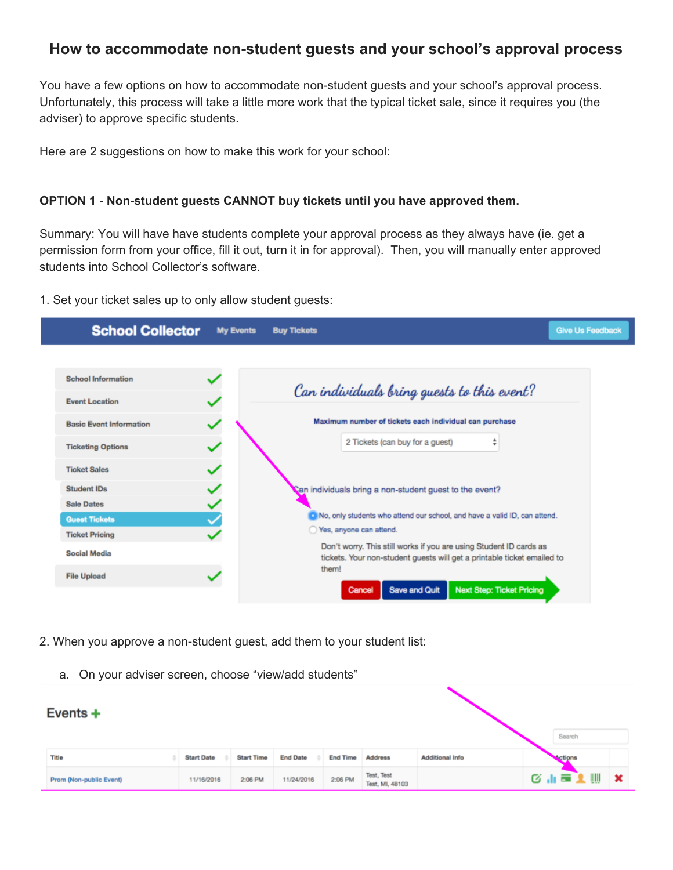## **How to accommodate non-student guests and your school's approval process**

You have a few options on how to accommodate non-student guests and your school's approval process. Unfortunately, this process will take a little more work that the typical ticket sale, since it requires you (the adviser) to approve specific students.

Here are 2 suggestions on how to make this work for your school:

## **OPTION 1 - Non-student guests CANNOT buy tickets until you have approved them.**

Summary: You will have have students complete your approval process as they always have (ie. get a permission form from your office, fill it out, turn it in for approval). Then, you will manually enter approved students into School Collector's software.

1. Set your ticket sales up to only allow student guests:



- 2. When you approve a non-student guest, add them to your student list:
	- a. On your adviser screen, choose "view/add students"

| Events $+$              |                   |                   |                 |                 |                               |                        | Search  |              |
|-------------------------|-------------------|-------------------|-----------------|-----------------|-------------------------------|------------------------|---------|--------------|
| <b>Title</b>            | <b>Start Date</b> | <b>Start Time</b> | <b>End Date</b> | <b>End Time</b> | <b>Address</b>                | <b>Additional Info</b> | Actions |              |
| Prom (Non-public Event) | 11/16/2016        | 2:06 PM           | 11/24/2016      | 2:06 PM         | Test, Test<br>Test, MI, 48103 |                        | 医血管上侧   | $\mathbf{x}$ |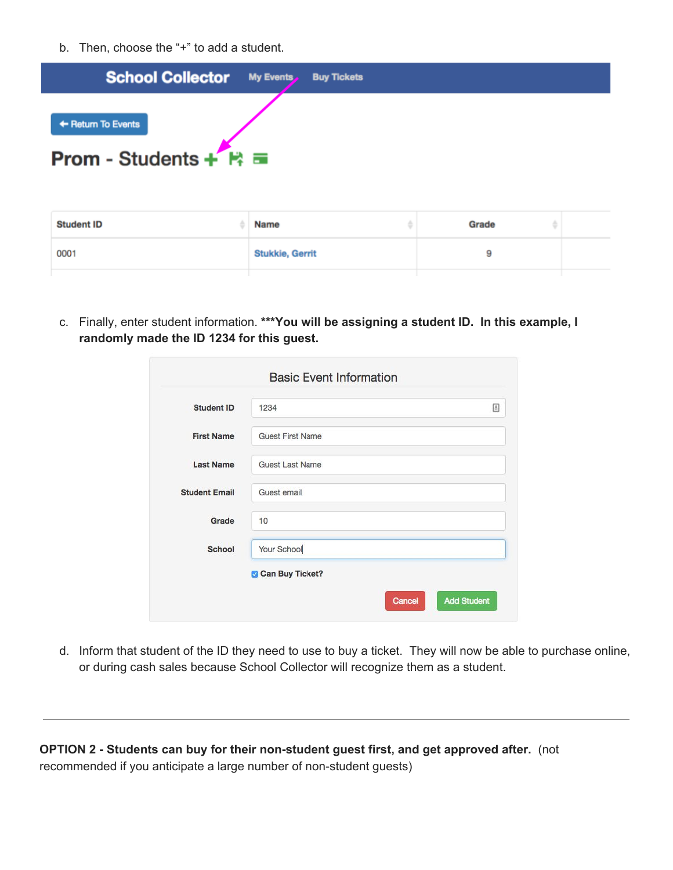b. Then, choose the "+" to add a student.



| <b>Student ID</b> | <b>Name</b>            | Grade |  |
|-------------------|------------------------|-------|--|
| 0001              | <b>Stukkie, Gerrit</b> | 9     |  |

c. Finally, enter student information. **\*\*\*You will be assigning a student ID. In this example, I randomly made the ID 1234 for this guest.**

| <b>Student ID</b>    | 1234                    | 固 |
|----------------------|-------------------------|---|
| <b>First Name</b>    | <b>Guest First Name</b> |   |
| <b>Last Name</b>     | <b>Guest Last Name</b>  |   |
| <b>Student Email</b> | Guest email             |   |
| Grade                | 10                      |   |
| School               | Your School             |   |
|                      | Can Buy Ticket?         |   |

d. Inform that student of the ID they need to use to buy a ticket. They will now be able to purchase online, or during cash sales because School Collector will recognize them as a student.

**OPTION 2 - Students can buy for their non-student guest first, and get approved after.** ( not recommended if you anticipate a large number of non-student guests)